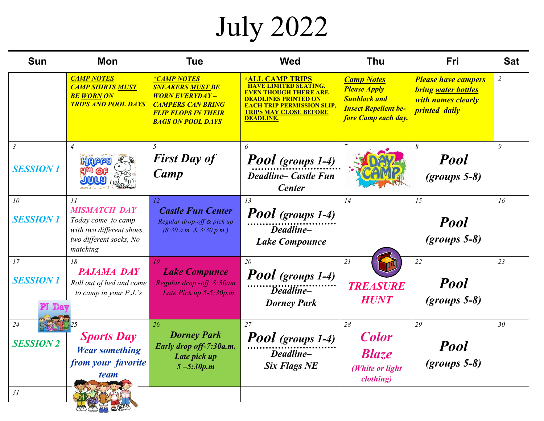## July 2022

| Sun                               | <b>Mon</b>                                                                                                          | <b>Tue</b>                                                                                                                                                   | <b>Wed</b>                                                                                                                                                               | <b>Thu</b>                                                                                                            | Fri                                                                                                    | <b>Sat</b>      |
|-----------------------------------|---------------------------------------------------------------------------------------------------------------------|--------------------------------------------------------------------------------------------------------------------------------------------------------------|--------------------------------------------------------------------------------------------------------------------------------------------------------------------------|-----------------------------------------------------------------------------------------------------------------------|--------------------------------------------------------------------------------------------------------|-----------------|
|                                   | <b>CAMP NOTES</b><br><b>CAMP SHIRTS MUST</b><br><b>BE WORN ON</b><br><b>TRIPS AND POOL DAYS</b>                     | <i>*CAMP NOTES</i><br><b>SNEAKERS MUST BE</b><br><b>WORN EVERYDAY-</b><br><b>CAMPERS CAN BRING</b><br><b>FLIP FLOPS IN THEIR</b><br><b>BAGS ON POOL DAYS</b> | <b>*ALL CAMP TRIPS</b><br><b>HAVE LIMITED SEATING.</b><br>DEADLINES PRINTED ON<br><u>EACH TRIP PERMISSION SLIP.</u><br><b>TRIPS MAY CLOSE BEFORE</b><br><b>DEADLINE.</b> | <b>Camp Notes</b><br><b>Please Apply</b><br><b>Sunblock and</b><br><b>Insect Repellent be-</b><br>fore Camp each day. | <b>Please have campers</b><br><b>bring water bottles</b><br>with names clearly<br><i>printed daily</i> | $\overline{2}$  |
| $\mathfrak{Z}$<br><b>SESSION1</b> | $\overline{4}$<br><b>HIRIPPY</b><br><b>JIUILY</b>                                                                   | 5<br><b>First Day of</b><br>Camp                                                                                                                             | 6<br><b>Pool</b> (groups 1-4)<br><b>Deadline– Castle Fun</b><br><b>Center</b>                                                                                            |                                                                                                                       | 8<br><b>Pool</b><br>$(grows 5-8)$                                                                      | 9               |
| 10<br><b>SESSION 1</b>            | 11<br><b>MISMATCH DAY</b><br>Today come to camp<br>with two different shoes,<br>two different socks, No<br>matching | 12<br><b>Castle Fun Center</b><br>Regular drop-off & pick up<br>$(8:30 a.m. \& 3:30 p.m.)$                                                                   | 13<br>Pool (groups 1-4)<br>Deadline-<br><b>Lake Compounce</b>                                                                                                            | 14                                                                                                                    | 15<br><b>Pool</b><br>$(grows 5-8)$                                                                     | 16              |
| 17<br><b>SESSION 1</b>            | 18<br><b>PAJAMA DAY</b><br>Roll out of bed and come<br>to camp in your P.J.'s                                       | 19<br><b>Lake Compunce</b><br>Regular drop -off 8:30am<br>Late Pick up 5-5:30p.m                                                                             | 20<br>Pool (groups 1-4)<br><i>Deadline</i> –<br><b>Dorney Park</b>                                                                                                       | 21<br><b>TREASURE</b><br><b>HUNT</b>                                                                                  | 22<br><b>Pool</b><br>$(grows 5-8)$                                                                     | 23              |
| 24<br><b>SESSION 2</b>            | <b>Sports Day</b><br><b>Wear something</b><br>from your favorite<br><i>team</i>                                     | 26<br><b>Dorney Park</b><br>Early drop off-7:30a.m.<br>Late pick up<br>$5 - 5:30p.m$                                                                         | 27<br>Pool (groups 1-4)<br><br>Deadline–<br><b>Six Flags NE</b>                                                                                                          | 28<br><b>Color</b><br><b>Blaze</b><br>(White or light)<br>clothing)                                                   | 29<br><b>Pool</b><br>$(grows 5-8)$                                                                     | 30 <sub>2</sub> |
| 31                                |                                                                                                                     |                                                                                                                                                              |                                                                                                                                                                          |                                                                                                                       |                                                                                                        |                 |